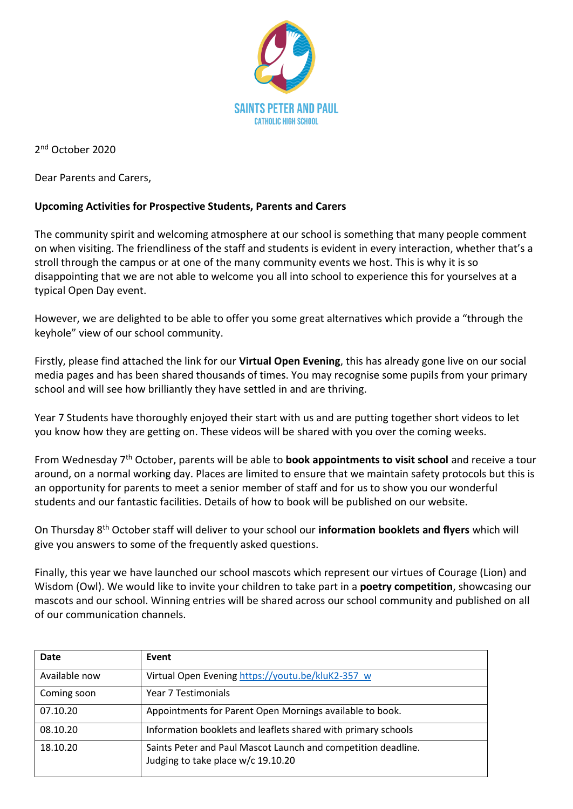

2 nd October 2020

Dear Parents and Carers,

## **Upcoming Activities for Prospective Students, Parents and Carers**

The community spirit and welcoming atmosphere at our school is something that many people comment on when visiting. The friendliness of the staff and students is evident in every interaction, whether that's a stroll through the campus or at one of the many community events we host. This is why it is so disappointing that we are not able to welcome you all into school to experience this for yourselves at a typical Open Day event.

However, we are delighted to be able to offer you some great alternatives which provide a "through the keyhole" view of our school community.

Firstly, please find attached the link for our **Virtual Open Evening**, this has already gone live on our social media pages and has been shared thousands of times. You may recognise some pupils from your primary school and will see how brilliantly they have settled in and are thriving.

Year 7 Students have thoroughly enjoyed their start with us and are putting together short videos to let you know how they are getting on. These videos will be shared with you over the coming weeks.

From Wednesday 7th October, parents will be able to **book appointments to visit school** and receive a tour around, on a normal working day. Places are limited to ensure that we maintain safety protocols but this is an opportunity for parents to meet a senior member of staff and for us to show you our wonderful students and our fantastic facilities. Details of how to book will be published on our website.

On Thursday 8 th October staff will deliver to your school our **information booklets and flyers** which will give you answers to some of the frequently asked questions.

Finally, this year we have launched our school mascots which represent our virtues of Courage (Lion) and Wisdom (Owl). We would like to invite your children to take part in a **poetry competition**, showcasing our mascots and our school. Winning entries will be shared across our school community and published on all of our communication channels.

| Date          | Event                                                                                               |
|---------------|-----------------------------------------------------------------------------------------------------|
| Available now | Virtual Open Evening https://youtu.be/kluK2-357 w                                                   |
| Coming soon   | Year 7 Testimonials                                                                                 |
| 07.10.20      | Appointments for Parent Open Mornings available to book.                                            |
| 08.10.20      | Information booklets and leaflets shared with primary schools                                       |
| 18.10.20      | Saints Peter and Paul Mascot Launch and competition deadline.<br>Judging to take place w/c 19.10.20 |